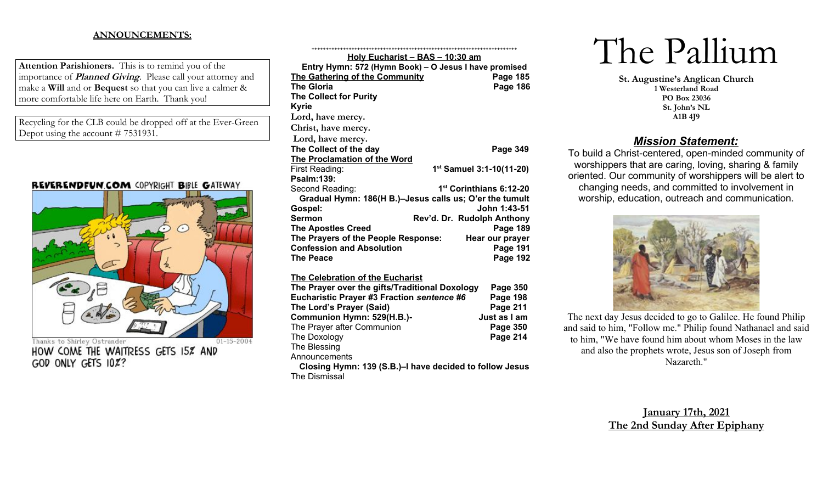#### **ANNOUNCEMENTS:**

**Attention Parishioners.** This is to remind you of the importance of **Planned Giving**. Please call your attorney and make a **Will** and or **Bequest** so that you can live a calmer & more comfortable life here on Earth. Thank you!

Recycling for the CLB could be dropped off at the Ever-Green Depot using the account # 7531931.

#### REVERENDFUN.COM COPYRIGHT BIBLE GATEWAY



Thanks to Shirley Ostrander  $01 - 15 - 2004$ HOW COME THE WAITRESS GETS 15% AND GOD ONLY GETS 10%?

| <u> Holy Eucharist – BAS – 10:30 am</u>                 |                                      |
|---------------------------------------------------------|--------------------------------------|
| Entry Hymn: 572 (Hymn Book) – O Jesus I have promised   |                                      |
| The Gathering of the Community                          | Page 185                             |
| <b>The Gloria</b>                                       | <b>Page 186</b>                      |
| <b>The Collect for Purity</b>                           |                                      |
| <b>Kyrie</b>                                            |                                      |
| Lord, have mercy.                                       |                                      |
| Christ, have mercy.                                     |                                      |
| Lord, have mercy.                                       |                                      |
| The Collect of the day                                  | <b>Page 349</b>                      |
| <b>The Proclamation of the Word</b>                     |                                      |
| First Reading:                                          | 1 <sup>st</sup> Samuel 3:1-10(11-20) |
| <b>Psalm:139:</b>                                       |                                      |
| Second Reading:                                         | 1 <sup>st</sup> Corinthians 6:12-20  |
| Gradual Hymn: 186(H B.)-Jesus calls us; O'er the tumult |                                      |
| Gospel:                                                 | John 1:43-51                         |
| Sermon                                                  | Rev'd. Dr. Rudolph Anthony           |
| <b>The Apostles Creed</b>                               | <b>Page 189</b>                      |
| The Prayers of the People Response:                     | Hear our prayer                      |
| <b>Confession and Absolution</b>                        | Page 191                             |
| <b>The Peace</b>                                        | <b>Page 192</b>                      |
| The Celebration of the Eucharist                        |                                      |
| The Prayer over the gifts/Traditional Doxology          | Page 350                             |
| Eucharistic Prayer #3 Fraction sentence #6              | Page 198                             |
| The Lord's Prayer (Said)                                | Page 211                             |
| Communion Hymn: 529(H.B.)-                              | Just as I am                         |
| The Prayer after Communion                              | Page 350                             |
| The Doxology                                            | <b>Page 214</b>                      |

The Blessing

Announcements

**Closing Hymn: 139 (S.B.)–I have decided to follow Jesus** The Dismissal

# The Pallium

**St. Augustine's Anglican Church 1 Westerland Road PO Box 23036 St. John's NL A1B 4J9**

## *Mission Statement:*

To build a Christ-centered, open-minded community of worshippers that are caring, loving, sharing & family oriented. Our community of worshippers will be alert to changing needs, and committed to involvement in worship, education, outreach and communication.



The next day Jesus decided to go to Galilee. He found Philip and said to him, "Follow me." Philip found Nathanael and said to him, "We have found him about whom Moses in the law and also the prophets wrote, Jesus son of Joseph from Nazareth."

### **January 17th, 2021 The 2nd Sunday After Epiphany**